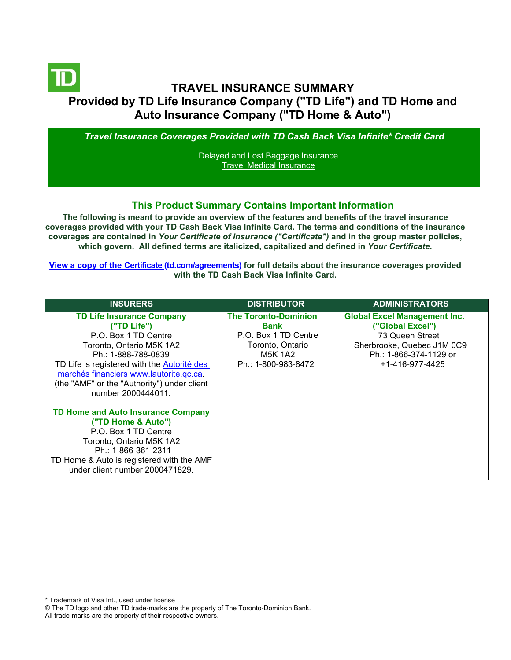# **TRAVEL INSURANCE SUMMARY Provided by TD Life Insurance Company ("TD Life") and TD Home and Auto Insurance Company ("TD Home & Auto")**

*Travel Insurance Coverages Provided with TD Cash Back Visa Infinite\* Credit Card*

[Delayed and Lost Baggage Insurance](#page-3-0) [Travel Medical Insurance](#page-4-0)

#### **This Product Summary Contains Important Information**

**The following is meant to provide an overview of the features and benefits of the travel insurance coverages provided with your TD Cash Back Visa Infinite Card. The terms and conditions of the insurance coverages are contained in** *Your Certificate of Insurance ("Certificate")* **and in the group master policies, which govern. All defined terms are italicized, capitalized and defined in** *Your Certificate***.**

**[View a copy of the Certificate](https://www.td.com/ca/en/personal-banking/how-to/manage-my-credit-card/getting-started/?tdtab=4) (td.com/agreements) for full details about the insurance coverages provided with the TD Cash Back Visa Infinite Card.** 

| <b>INSURERS</b>                                                                                                                                                                                                                                                                           | <b>DISTRIBUTOR</b>                                                                                                              | <b>ADMINISTRATORS</b>                                                                                                                                 |
|-------------------------------------------------------------------------------------------------------------------------------------------------------------------------------------------------------------------------------------------------------------------------------------------|---------------------------------------------------------------------------------------------------------------------------------|-------------------------------------------------------------------------------------------------------------------------------------------------------|
| <b>TD Life Insurance Company</b><br>("TD Life")<br>P.O. Box 1 TD Centre<br>Toronto, Ontario M5K 1A2<br>Ph.: 1-888-788-0839<br>TD Life is registered with the Autorité des<br>marchés financiers www.lautorite.gc.ca.<br>(the "AMF" or the "Authority") under client<br>number 2000444011. | <b>The Toronto-Dominion</b><br><b>Bank</b><br>P.O. Box 1 TD Centre<br>Toronto, Ontario<br><b>M5K 1A2</b><br>Ph.: 1-800-983-8472 | <b>Global Excel Management Inc.</b><br>("Global Excel")<br>73 Queen Street<br>Sherbrooke, Quebec J1M 0C9<br>Ph.: 1-866-374-1129 or<br>+1-416-977-4425 |
| <b>TD Home and Auto Insurance Company</b><br>("TD Home & Auto")<br>P.O. Box 1 TD Centre<br>Toronto, Ontario M5K 1A2<br>Ph.: 1-866-361-2311<br>TD Home & Auto is registered with the AMF<br>under client number 2000471829.                                                                |                                                                                                                                 |                                                                                                                                                       |

\* Trademark of Visa Int., used under license

All trade-marks are the property of their respective owners.

<sup>®</sup> The TD logo and other TD trade-marks are the property of The Toronto-Dominion Bank.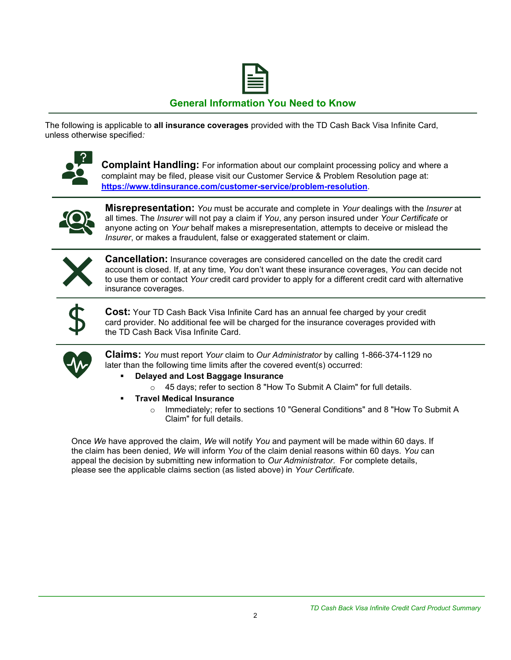

## **General Information You Need to Know**

The following is applicable to **all insurance coverages** provided with the TD Cash Back Visa Infinite Card, unless otherwise specified*:*



**Complaint Handling:** For information about our complaint processing policy and where a complaint may be filed, please visit our Customer Service & Problem Resolution page at: **<https://www.tdinsurance.com/customer-service/problem-resolution>**.



**Misrepresentation:** *You* must be accurate and complete in *Your* dealings with the *Insurer* at all times. The *Insurer* will not pay a claim if *You*, any person insured under *Your Certificate* or anyone acting on *Your* behalf makes a misrepresentation, attempts to deceive or mislead the *Insurer*, or makes a fraudulent, false or exaggerated statement or claim.



**Cancellation:** Insurance coverages are considered cancelled on the date the credit card account is closed. If, at any time, *You* don't want these insurance coverages, *You* can decide not to use them or contact *Your* credit card provider to apply for a different credit card with alternative insurance coverages.



**Cost:** Your TD Cash Back Visa Infinite Card has an annual fee charged by your credit card provider. No additional fee will be charged for the insurance coverages provided with the TD Cash Back Visa Infinite Card.



**Claims:** *You* must report *Your* claim to *Our Administrator* by calling 1-866-374-1129 no later than the following time limits after the covered event(s) occurred:

- **Delayed and Lost Baggage Insurance** 
	- o 45 days; refer to section 8 "How To Submit A Claim" for full details.
- **Travel Medical Insurance** 
	- o Immediately; refer to sections 10 "General Conditions" and 8 "How To Submit A Claim" for full details.

Once *We* have approved the claim, *We* will notify *You* and payment will be made within 60 days. If the claim has been denied, *We* will inform *You* of the claim denial reasons within 60 days. *You* can appeal the decision by submitting new information to *Our Administrator*. For complete details, please see the applicable claims section (as listed above) in *Your Certificate.*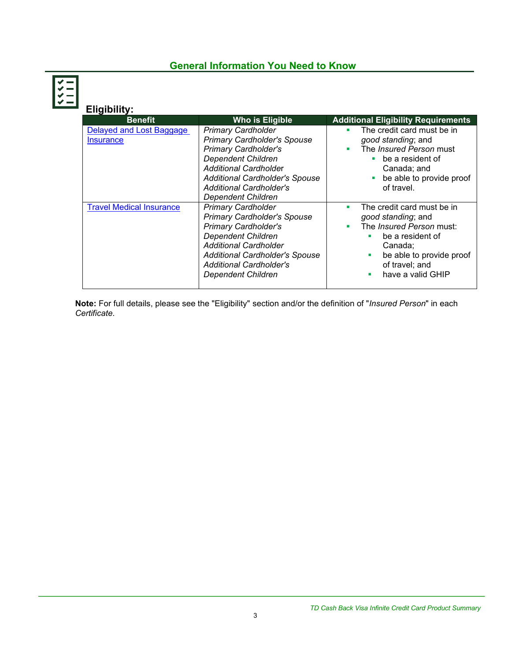## **General Information You Need to Know**

| Eligibility:                                 |                                                                                                                                                                                                                                                                     |                                                                                                                                                                                                      |
|----------------------------------------------|---------------------------------------------------------------------------------------------------------------------------------------------------------------------------------------------------------------------------------------------------------------------|------------------------------------------------------------------------------------------------------------------------------------------------------------------------------------------------------|
| <b>Benefit</b>                               | Who is Eligible                                                                                                                                                                                                                                                     | <b>Additional Eligibility Requirements</b>                                                                                                                                                           |
| Delayed and Lost Baggage<br><b>Insurance</b> | <b>Primary Cardholder</b><br><b>Primary Cardholder's Spouse</b><br><b>Primary Cardholder's</b><br><b>Dependent Children</b><br><b>Additional Cardholder</b><br><b>Additional Cardholder's Spouse</b><br><b>Additional Cardholder's</b><br><b>Dependent Children</b> | The credit card must be in<br>٠<br>good standing; and<br>The <i>Insured Person</i> must<br>٠<br>be a resident of<br>Canada; and<br>be able to provide proof<br>of travel.                            |
| <b>Travel Medical Insurance</b>              | <b>Primary Cardholder</b><br><b>Primary Cardholder's Spouse</b><br><b>Primary Cardholder's</b><br><b>Dependent Children</b><br><b>Additional Cardholder</b><br><b>Additional Cardholder's Spouse</b><br><b>Additional Cardholder's</b><br><b>Dependent Children</b> | The credit card must be in<br>٠<br>good standing; and<br>The <i>Insured Person</i> must:<br>be a resident of<br>Canada;<br>be able to provide proof<br>п<br>of travel; and<br>have a valid GHIP<br>٠ |

**Note:** For full details, please see the "Eligibility" section and/or the definition of "*Insured Person*" in each *Certificate*.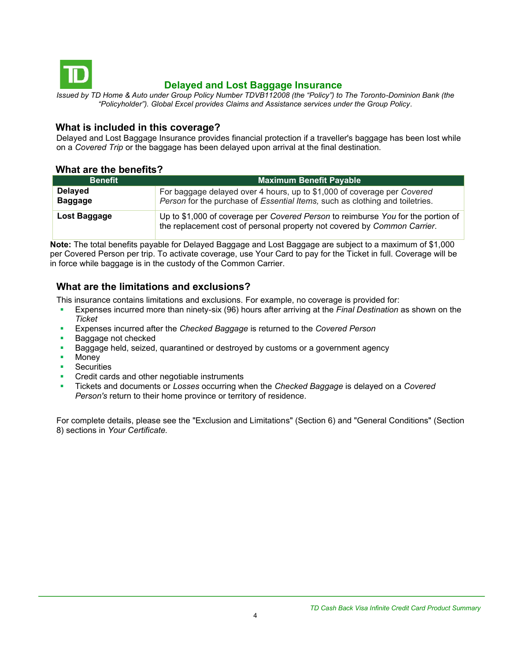<span id="page-3-0"></span>

## **Delayed and Lost Baggage Insurance**

*Issued by TD Home & Auto under Group Policy Number TDVB112008 (the "Policy") to The Toronto-Dominion Bank (the "Policyholder"). Global Excel provides Claims and Assistance services under the Group Policy.*

### **What is included in this coverage?**

Delayed and Lost Baggage Insurance provides financial protection if a traveller's baggage has been lost while on a *Covered Trip* or the baggage has been delayed upon arrival at the final destination.

### **What are the benefits?**

| <b>Benefit</b>                   | <b>Maximum Benefit Payable</b>                                                                                                                               |  |
|----------------------------------|--------------------------------------------------------------------------------------------------------------------------------------------------------------|--|
| <b>Delayed</b><br><b>Baggage</b> | For baggage delayed over 4 hours, up to \$1,000 of coverage per Covered<br>Person for the purchase of Essential Items, such as clothing and toiletries.      |  |
| Lost Baggage                     | Up to \$1,000 of coverage per Covered Person to reimburse You for the portion of<br>the replacement cost of personal property not covered by Common Carrier. |  |

**Note:** The total benefits payable for Delayed Baggage and Lost Baggage are subject to a maximum of \$1,000 per Covered Person per trip. To activate coverage, use Your Card to pay for the Ticket in full. Coverage will be in force while baggage is in the custody of the Common Carrier.

## **What are the limitations and exclusions?**

This insurance contains limitations and exclusions. For example, no coverage is provided for:

- Expenses incurred more than ninety-six (96) hours after arriving at the *Final Destination* as shown on the *Ticket*
- Expenses incurred after the *Checked Baggage* is returned to the *Covered Person*
- Baggage not checked
- Baggage held, seized, quarantined or destroyed by customs or a government agency
- Money
- **•** Securities
- Credit cards and other negotiable instruments
- Tickets and documents or *Losses* occurring when the *Checked Baggage* is delayed on a *Covered Person's* return to their home province or territory of residence.

For complete details, please see the "Exclusion and Limitations" (Section 6) and "General Conditions" (Section 8) sections in *Your Certificate.*